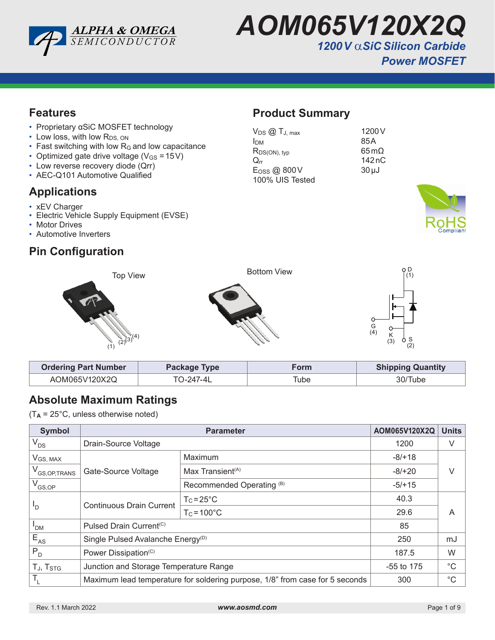

*AOM065V120X2Q 1200V* α*SiC Silicon Carbide* 

#### **Features**

- Proprietary αSiC MOSFET technology
- Low loss, with low R<sub>DS, ON</sub>
- Fast switching with low R<sub>G</sub> and low capacitance
- Optimized gate drive voltage ( $V_{GS} = 15V$ )
- Low reverse recovery diode (Qrr)
- AEC-Q101 Automotive Qualified

### **Applications**

- xEV Charger
- Electric Vehicle Supply Equipment (EVSE)
- Motor Drives
- Automotive Inverters

### **Pin Configuration**

# **Product Summary**

| 1200 <sub>V</sub>       |
|-------------------------|
| 85A                     |
| $65 \,\mathrm{m}\Omega$ |
| 142nC                   |
| $30 \mu J$              |
|                         |
|                         |





| <b>Ordering Part Number</b> | Package Type | Form | <b>Shipping Quantity</b> |
|-----------------------------|--------------|------|--------------------------|
| AOM065V120X2Q               | TO-247-4L    | Tube | 30/Tube                  |

### **Absolute Maximum Ratings**

 $(T_A = 25^{\circ}C$ , unless otherwise noted)

| <b>Symbol</b>              |                                                                              | AOM065V120X2Q                             | <b>Units</b> |  |
|----------------------------|------------------------------------------------------------------------------|-------------------------------------------|--------------|--|
| $V_{DS}$                   | Drain-Source Voltage                                                         | 1200                                      | V            |  |
| $V$ <sub>GS, MAX</sub>     |                                                                              | Maximum                                   | $-8/+18$     |  |
| V <sub>GS, OP, TRANS</sub> | Gate-Source Voltage                                                          | Max Transient <sup><math>(A)</math></sup> | $-8/+20$     |  |
| $V_{GS,OP}$                |                                                                              | Recommended Operating <sup>(B)</sup>      | $-5/+15$     |  |
|                            | <b>Continuous Drain Current</b>                                              | $T_c = 25^{\circ}C$                       | 40.3         |  |
| 'D                         | $T_c = 100^{\circ}$ C                                                        | 29.6                                      | A            |  |
| ' <sub>DM</sub>            | Pulsed Drain Current <sup>(C)</sup>                                          | 85                                        |              |  |
| $E_{AS}$                   | Single Pulsed Avalanche Energy <sup>(D)</sup>                                | 250                                       | mJ           |  |
| $P_{D}$                    | Power Dissipation <sup>(C)</sup>                                             | 187.5                                     | W            |  |
| TJ, T <sub>STG</sub>       | Junction and Storage Temperature Range                                       | $-55$ to 175                              | °C           |  |
|                            | Maximum lead temperature for soldering purpose, 1/8" from case for 5 seconds | 300                                       | $^{\circ}C$  |  |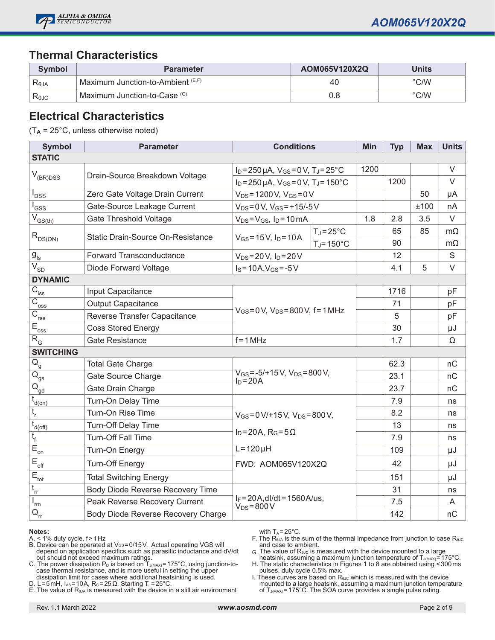

#### **Thermal Characteristics**

| <b>Symbol</b>  | <b>Parameter</b>                  | AOM065V120X2Q | Units         |
|----------------|-----------------------------------|---------------|---------------|
| Reja           | Maximum Junction-to-Ambient (E,F) | 40            | $\degree$ C/W |
| $R_{\theta$ JC | Maximum Junction-to-Case (G)      | 0.8           | $\degree$ C/W |

#### **Electrical Characteristics**

(T**A** = 25°C, unless otherwise noted)

| <b>Symbol</b>                         | <b>Parameter</b>                   | <b>Conditions</b>                                                                                                                          |                      | Min  | <b>Typ</b> | <b>Max</b> | <b>Units</b> |
|---------------------------------------|------------------------------------|--------------------------------------------------------------------------------------------------------------------------------------------|----------------------|------|------------|------------|--------------|
| <b>STATIC</b>                         |                                    |                                                                                                                                            |                      |      |            |            |              |
|                                       | Drain-Source Breakdown Voltage     | $I_D = 250 \,\mu A$ , $V_{GS} = 0 \,\text{V}$ , $T_J = 25 \,^{\circ}\text{C}$<br>$I_D = 250 \mu A$ , $V_{GS} = 0 V$ , $T_J = 150^{\circ}C$ |                      | 1200 |            |            | $\vee$       |
| $\mathsf{V}_{\mathsf{(BR)DSS}}$       |                                    |                                                                                                                                            |                      |      | 1200       |            | $\vee$       |
| <b>DSS</b>                            | Zero Gate Voltage Drain Current    | $V_{DS} = 1200 V$ , $V_{GS} = 0V$                                                                                                          |                      |      |            | 50         | μA           |
| GSS                                   | Gate-Source Leakage Current        | $V_{DS} = 0 V$ , $V_{GS} = +15/-5 V$                                                                                                       |                      |      |            | ±100       | nA           |
| $\overline{V}_{GS(th)}$               | <b>Gate Threshold Voltage</b>      | $V_{DS} = V_{GS}$ , $I_D = 10 \text{ mA}$                                                                                                  |                      | 1.8  | 2.8        | 3.5        | $\vee$       |
|                                       | Static Drain-Source On-Resistance  |                                                                                                                                            | $T_J = 25^{\circ}C$  |      | 65         | 85         | $m\Omega$    |
| $R_{DS(ON)}$                          |                                    | $V_{GS} = 15 V$ , $I_D = 10 A$                                                                                                             | $T_J = 150^{\circ}C$ |      | 90         |            | $m\Omega$    |
| $\mathbf{g}_{\text{fs}}$              | <b>Forward Transconductance</b>    | $V_{DS} = 20 V$ , $I_D = 20 V$                                                                                                             |                      |      | 12         |            | $\mathsf S$  |
| $\overline{V_{SD}}$                   | Diode Forward Voltage              | $I_S = 10A$ , $V_{GS} = -5V$                                                                                                               |                      |      | 4.1        | 5          | $\vee$       |
| <b>DYNAMIC</b>                        |                                    |                                                                                                                                            |                      |      |            |            |              |
| $C_{\text{iss}}$                      | Input Capacitance                  |                                                                                                                                            |                      |      | 1716       |            | pF           |
| $\overline{C}_{\underline{oss}}$      | <b>Output Capacitance</b>          |                                                                                                                                            |                      |      | 71         |            | pF           |
| $\overline{C}_{\underline{rss}}$      | Reverse Transfer Capacitance       | $V_{GS} = 0 V$ , $V_{DS} = 800 V$ , f = 1 MHz                                                                                              |                      |      | 5          |            | pF           |
| $E_{\underline{oss}}$                 | <b>Coss Stored Energy</b>          |                                                                                                                                            |                      |      | 30         |            | μJ           |
| $R_{G}$                               | Gate Resistance                    | $f = 1 MHz$                                                                                                                                |                      | 1.7  |            | Ω          |              |
| <b>SWITCHING</b>                      |                                    |                                                                                                                                            |                      |      |            |            |              |
| $Q_g^-$                               | <b>Total Gate Charge</b>           |                                                                                                                                            |                      |      | 62.3       |            | nC           |
| $\overline{\mathsf{Q}}_{\mathsf{gs}}$ | Gate Source Charge                 | $V_{GS} = -5/+15 V$ , $V_{DS} = 800 V$ ,<br>$I_D = 20A$                                                                                    |                      |      | 23.1       |            | nC           |
| $\overline{Q}_{\underline{gd}}$       | Gate Drain Charge                  |                                                                                                                                            |                      |      | 23.7       |            | nC           |
| t<br>d(on)                            | Turn-On Delay Time                 |                                                                                                                                            |                      |      | 7.9        |            | ns           |
| $t_{\rm r}$                           | Turn-On Rise Time                  | $V_{GS} = 0 V/ + 15 V$ , $V_{DS} = 800 V$ ,                                                                                                |                      |      | 8.2        |            | ns           |
| $t_{\underline{d(off)}}$              | Turn-Off Delay Time                |                                                                                                                                            |                      |      | 13         |            | ns           |
| $t_{\rm f}$                           | <b>Turn-Off Fall Time</b>          | $I_D = 20A$ , $R_G = 5\Omega$                                                                                                              |                      |      | 7.9        |            | ns           |
| $\overline{E}_{\underline{on}}$       | Turn-On Energy                     | $L = 120 \mu H$<br>FWD: AOM065V120X2Q                                                                                                      |                      |      | 109        |            | μJ           |
| $E_{\text{off}}$                      | <b>Turn-Off Energy</b>             |                                                                                                                                            |                      |      | 42         |            | μJ           |
| $E_{\rm tot}$                         | <b>Total Switching Energy</b>      |                                                                                                                                            |                      |      | 151        |            | μJ           |
| $t_{rr}$                              | Body Diode Reverse Recovery Time   |                                                                                                                                            |                      |      | 31         |            | ns           |
| rm                                    | Peak Reverse Recovery Current      | $I_F = 20A$ , dl/dt = 1560A/us,<br>$V_{DS} = 800 V$                                                                                        |                      |      | 7.5        |            | A            |
| $\mathsf{Q}_{\mathsf{rr}}$            | Body Diode Reverse Recovery Charge |                                                                                                                                            |                      |      | 142        |            | nC           |

#### **Notes:**

- A. < 1% duty cycle, f>1Hz
- B. Device can be operated at Vേs=0/15 V. Actual operating VGS will depend on application specifics such as parasitic inductance and dV/dt but should not exceed maximum ratings.
- C. The power dissipation  $\mathsf{P}_\mathsf{D}$  is based on  $\mathsf{T}_\mathsf{J(MAX)}$ =175°C, using junction-tocase thermal resistance, and is more useful in setting the upper dissipation limit for cases where additional heatsinking is used.
- D. L=5mH, I<sub>AS</sub>=10A, R<sub>G</sub>=25Ω, Starting T<sub>J</sub>=25°C.
- E. The value of  $R_{\theta_{\theta A}}$  is measured with the device in a still air environment

with  $T_A = 25^{\circ}$ C.

- F. The  $R_{\theta JA}$  is the sum of the thermal impedance from junction to case  $R_{\theta JC}$ and case to ambient.
- G. The value of  $R_{\theta\text{UC}}$  is measured with the device mounted to a large
- heatsink, assuming a maximum junction temperature of T $_{\rm J(MAX)}$ =175°C. H. The static characteristics in Figures 1 to 8 are obtained using <300ms pulses, duty cycle 0.5% max.
- I. These curves are based on  $R_{\theta\text{UC}}$  which is measured with the device mounted to a large heatsink, assuming a maximum junction temperature<br>of T<sub>J(MAX)</sub>=175°C. The SOA curve provides a single pulse rating.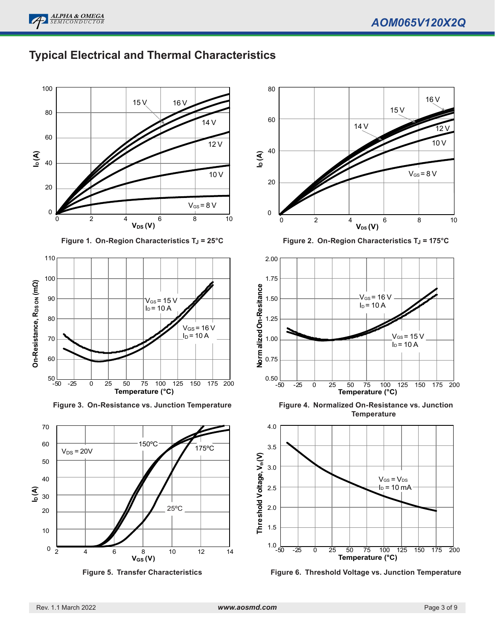

### **Typical Electrical and Thermal Characteristics**



**Figure 1. On-Region Characteristics T<sub>J</sub> = 25°C** 



**Figure 3. On-Resistance vs. Junction Temperature**







**Figure 2. On-Region Characteristics T<sub>J</sub> = 175°C** 



**Figure 4. Normalized On-Resistance vs. Junction Temperature**



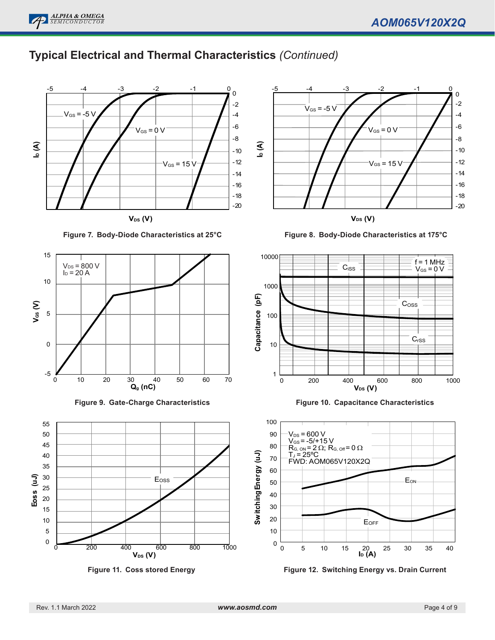

# **Typical Electrical and Thermal Characteristics** *(Continued)*



**Figure 7. Body-Diode Characteristics at 25°C**











**Figure 8. Body-Diode Characteristics at 175°C**



**Figure 10. Capacitance Characteristics**



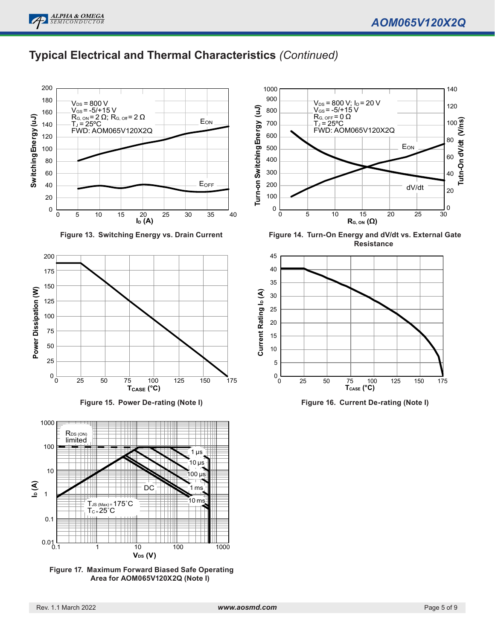### **Typical Electrical and Thermal Characteristics** *(Continued)*



**Figure 13. Switching Energy vs. Drain Current**







**Figure 17. Maximum Forward Biased Safe Operating Area for AOM065V120X2Q (Note I)**



**Figure 14. Turn-On Energy and dV/dt vs. External Gate Resistance**



**Figure 16. Current De-rating (Note I)**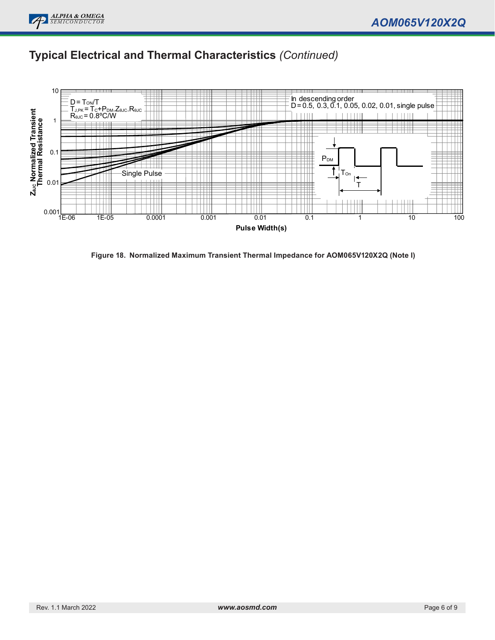

# **Typical Electrical and Thermal Characteristics** *(Continued)*



**Figure 18. Normalized Maximum Transient Thermal Impedance for AOM065V120X2Q (Note I)**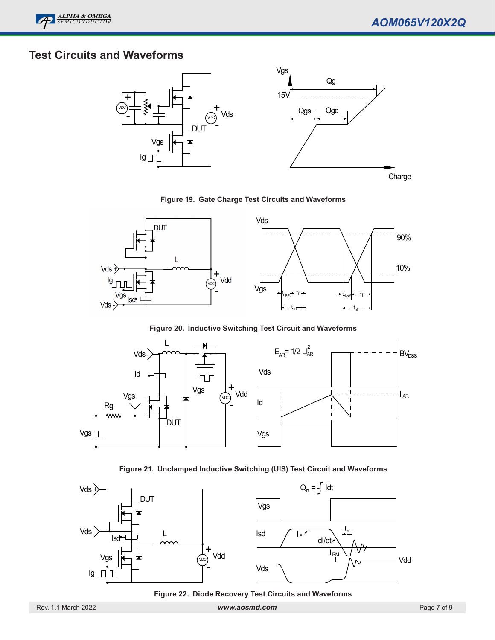## **Test Circuits and Waveforms**



#### **Figure 19. Gate Charge Test Circuits and Waveforms**



**Figure 20. Inductive Switching Test Circuit and Waveforms**







**Figure 22. Diode Recovery Test Circuits and Waveforms**

Rev. 1.1 March 2022 *www.aosmd.com* Page 7 of 9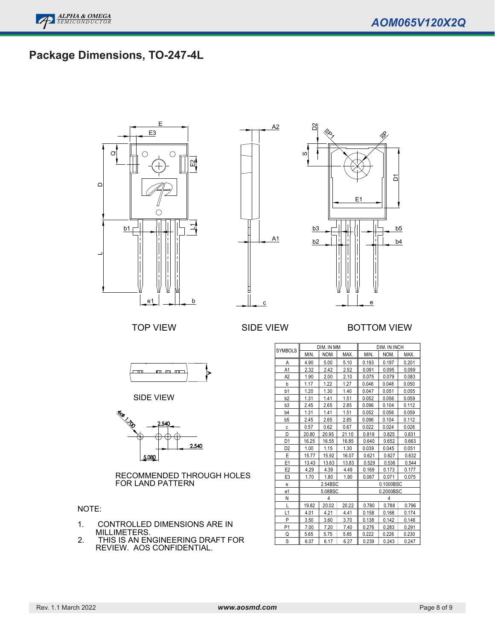# **Package Dimensions, TO-247-4L**





#### TOP VIEW SIDE VIEW BOTTOM VIEW



SIDE VIEW



RECOMMENDED THROUGH HOLES FOR LAND PATTERN

#### NOTE:

- 1. CONTROLLED DIMENSIONS ARE IN MILLIMETERS.
- 2. THIS IS AN ENGINEERING DRAFT FOR REVIEW. AOS CONFIDENTIAL.

| <b>SYMBOLS</b> |       | DIM. IN MM |       |       | DIM. IN INCH |       |
|----------------|-------|------------|-------|-------|--------------|-------|
|                | MIN.  | NOM.       | MAX.  | MIN.  | NOM.         | MAX.  |
| Α              | 4.90  | 5.00       | 5.10  | 0.193 | 0.197        | 0.201 |
| A1             | 2.32  | 2.42       | 2.52  | 0.091 | 0.095        | 0.099 |
| A <sub>2</sub> | 1.90  | 2.00       | 2.10  | 0.075 | 0.079        | 0.083 |
| b              | 1.17  | 1.22       | 1.27  | 0.046 | 0.048        | 0.050 |
| b1             | 1.20  | 1.30       | 1.40  | 0.047 | 0.051        | 0.055 |
| b <sub>2</sub> | 1.31  | 1.41       | 1.51  | 0.052 | 0.056        | 0.059 |
| b <sub>3</sub> | 2.45  | 2.65       | 2.85  | 0.096 | 0.104        | 0.112 |
| b <sub>4</sub> | 1.31  | 1.41       | 1.51  | 0.052 | 0.056        | 0.059 |
| b <sub>5</sub> | 2.45  | 2.65       | 2.85  | 0.096 | 0.104        | 0.112 |
| C              | 0.57  | 0.62       | 0.67  | 0.022 | 0.024        | 0.026 |
| D              | 20.80 | 20.95      | 21.10 | 0.819 | 0.825        | 0.831 |
| D <sub>1</sub> | 16.25 | 16.55      | 16.85 | 0.640 | 0.652        | 0.663 |
| D <sub>2</sub> | 1.00  | 1.15       | 1.30  | 0.039 | 0.045        | 0.051 |
| E              | 15.77 | 15.92      | 16.07 | 0.621 | 0.627        | 0.632 |
| E <sub>1</sub> | 13.43 | 13.63      | 13.83 | 0.529 | 0.536        | 0.544 |
| E <sub>2</sub> | 4.29  | 4.39       | 4.49  | 0.169 | 0.173        | 0.177 |
| E <sub>3</sub> | 1.70  | 1.80       | 1.90  | 0.067 | 0.071        | 0.075 |
| e              |       | 2.54BSC    |       |       | 0.1000BSC    |       |
| e1             |       | 5.08BSC    |       |       | 0.2000BSC    |       |
| N              |       | 4          |       |       | 4            |       |
| L              | 19.82 | 20.02      | 20.22 | 0.780 | 0.788        | 0.796 |
| L1             | 4.01  | 4.21       | 4.41  | 0.158 | 0.166        | 0.174 |
| P              | 3.50  | 3.60       | 3.70  | 0.138 | 0.142        | 0.146 |
| P <sub>1</sub> | 7.00  | 7.20       | 7.40  | 0.276 | 0.283        | 0.291 |
| Q              | 5.65  | 5.75       | 5.85  | 0.222 | 0.226        | 0.230 |
| S              | 6.07  | 6.17       | 6.27  | 0.239 | 0.243        | 0.247 |